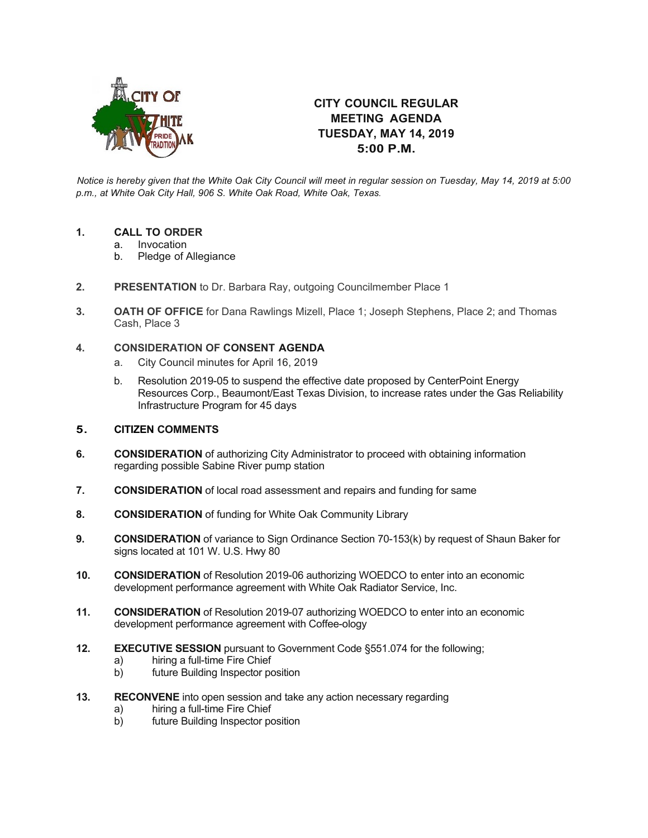

# **CITY COUNCIL REGULAR MEETING AGENDA TUESDAY, MAY 14, 2019 5:00 P.M.**

*Notice is hereby given that the White Oak City Council will meet in regular session on Tuesday, May 14, 2019 at 5:00 p.m., at White Oak City Hall, 906 S. White Oak Road, White Oak, Texas.*

## **1. CALL TO ORDER**

- a. Invocation
- b. Pledge of Allegiance
- **2. PRESENTATION** to Dr. Barbara Ray, outgoing Councilmember Place 1
- **3. OATH OF OFFICE** for Dana Rawlings Mizell, Place 1; Joseph Stephens, Place 2; and Thomas Cash, Place 3

## **4. CONSIDERATION OF CONSENT AGENDA**

- a. City Council minutes for April 16, 2019
- b. Resolution 2019-05 to suspend the effective date proposed by CenterPoint Energy Resources Corp., Beaumont/East Texas Division, to increase rates under the Gas Reliability Infrastructure Program for 45 days

### **5. CITIZEN COMMENTS**

- **6. CONSIDERATION** of authorizing City Administrator to proceed with obtaining information regarding possible Sabine River pump station
- **7. CONSIDERATION** of local road assessment and repairs and funding for same
- **8. CONSIDERATION** of funding for White Oak Community Library
- **9. CONSIDERATION** of variance to Sign Ordinance Section 70-153(k) by request of Shaun Baker for signs located at 101 W. U.S. Hwy 80
- **10. CONSIDERATION** of Resolution 2019-06 authorizing WOEDCO to enter into an economic development performance agreement with White Oak Radiator Service, Inc.
- **11. CONSIDERATION** of Resolution 2019-07 authorizing WOEDCO to enter into an economic development performance agreement with Coffee-ology
- **12. EXECUTIVE SESSION** pursuant to Government Code §551.074 for the following;
	- a) hiring a full-time Fire Chief<br>b) future Building Inspector po
	- future Building Inspector position
- **13. RECONVENE** into open session and take any action necessary regarding
	- a) hiring a full-time Fire Chief<br>b) future Building Inspector po
		- future Building Inspector position